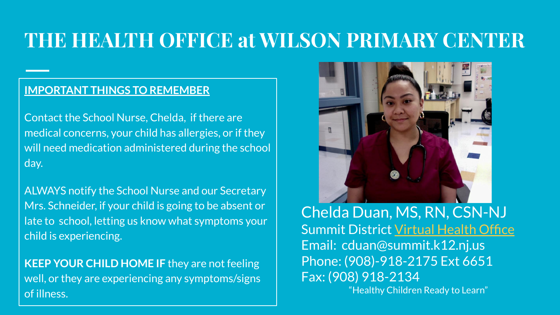### **THE HEALTH OFFICE at WILSON PRIMARY CENTER**

#### **IMPORTANT THINGS TO REMEMBER**

Contact the School Nurse, Chelda, if there are medical concerns, your child has allergies, or if they will need medication administered during the school day.

ALWAYS notify the School Nurse and our Secretary Mrs. Schneider, if your child is going to be absent or late to school, letting us know what symptoms your child is experiencing.

**KEEP YOUR CHILD HOME IF** they are not feeling well, or they are experiencing any symptoms/signs of illness.



Chelda Duan, MS, RN, CSN-NJ Summit District [Virtual Health Office](https://sites.google.com/summit.k12.nj.us/virtualhealthoffice/home) Email: cduan@summit.k12.nj.us Phone: (908)-918-2175 Ext 6651 Fax: (908) 918-2134 "Healthy Children Ready to Learn"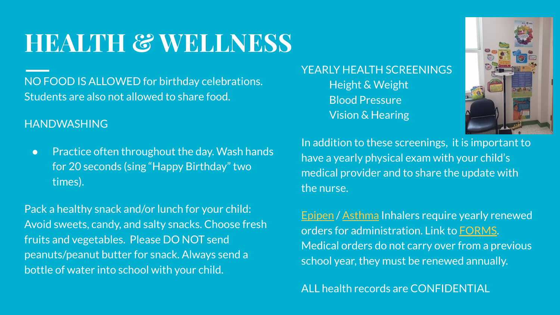### **HEALTH & WELLNESS**

NO FOOD IS ALLOWED for birthday celebrations. Students are also not allowed to share food.

#### HANDWASHING

● Practice often throughout the day. Wash hands for 20 seconds (sing "Happy Birthday" two times).

Pack a healthy snack and/or lunch for your child: Avoid sweets, candy, and salty snacks. Choose fresh fruits and vegetables. Please DO NOT send peanuts/peanut butter for snack. Always send a bottle of water into school with your child.

YEARLY HEALTH SCREENINGS Height & Weight Blood Pressure Vision & Hearing



In addition to these screenings, it is important to have a yearly physical exam with your child's medical provider and to share the update with the nurse.

[Epipen](https://www.summit.k12.nj.us/uploaded/District_Forms/Health_Forms/epipenform2014.pdf) / [Asthma](https://www.summit.k12.nj.us/uploaded/District_Forms/Health_Forms/epipenform2014.pdf) Inhalers require yearly renewed orders for administration. Link to [FORMS.](https://www.summit.k12.nj.us/departments/health-services/medical-forms) Medical orders do not carry over from a previous school year, they must be renewed annually.

ALL health records are CONFIDENTIAL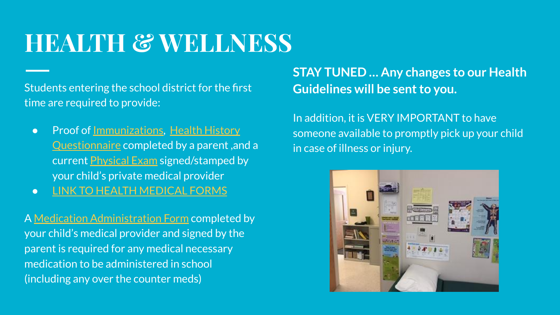### **HEALTH & WELLNESS**

Students entering the school district for the first time are required to provide:

- Proof of <u>[Immunizations](https://www.nj.gov/health/cd/documents/imm_requirements/k12_parents.pdf)</u>, [Health History](https://www.summit.k12.nj.us/uploaded/District_Forms/Health_Forms/HealthQuestionEng.pdf) [Questionnaire](https://www.summit.k12.nj.us/uploaded/District_Forms/Health_Forms/HealthQuestionEng.pdf) completed by a parent ,and a current [Physical Exam](https://www.summit.k12.nj.us/uploaded/District_Forms/Health_Forms/prek5physicalforms.pdf) signed/stamped by your child's private medical provider
- [LINK TO HEALTH MEDICAL FORMS](https://www.summit.k12.nj.us/departments/health-services/medical-forms)

A [Medication Administration Form](https://www.summit.k12.nj.us/uploaded/District_Forms/Health_Forms/MedicationAdministration14.pdf) completed by your child's medical provider and signed by the parent is required for any medical necessary medication to be administered in school (including any over the counter meds)

#### **STAY TUNED … Any changes to our Health Guidelines will be sent to you.**

In addition, it is VERY IMPORTANT to have someone available to promptly pick up your child in case of illness or injury.

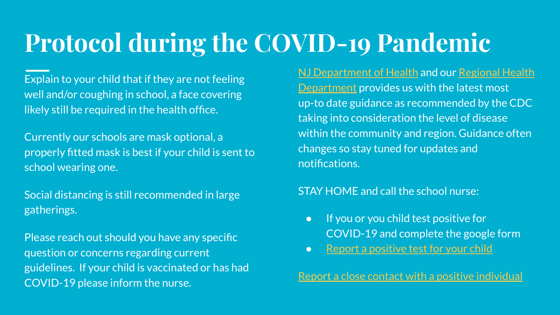# **Protocol during the COVID-19 Pandemic**

Explain to your child that if they are not feeling well and/or coughing in school, a face covering likely still be required in the health office.

Currently our schools are mask optional, a properly fitted mask is best if your child is sent to school wearing one.

Social distancing is still recommended in large gatherings.

Please reach out should you have any specific question or concerns regarding current guidelines. If your child is vaccinated or has had COVID-19 please inform the nurse.

[NJ Department of Health](https://covid19.nj.gov/) and our [Regional Health](https://www.westfieldnj.gov/health) **[Department](https://www.westfieldnj.gov/health) provides us with the latest most** up-to date guidance as recommended by the CDC taking into consideration the level of disease within the community and region. Guidance often changes so stay tuned for updates and notifications.

#### STAY HOME and call the school nurse:

- If you or you child test positive for COVID-19 and complete the google form
- [Report a positive test for your child](https://docs.google.com/forms/d/e/1FAIpQLSefv_Sflor7ycF4bLjmN17g9sQmUeOA3y5CYHt9XOr5AFWM8Q/viewform)

[Report a close contact with a positive individual](https://docs.google.com/forms/d/e/1FAIpQLSdCjc7cPL92OIErix3VExMoG3pWcPu-5uJ8DWnUEYL3GMmBfw/viewform)